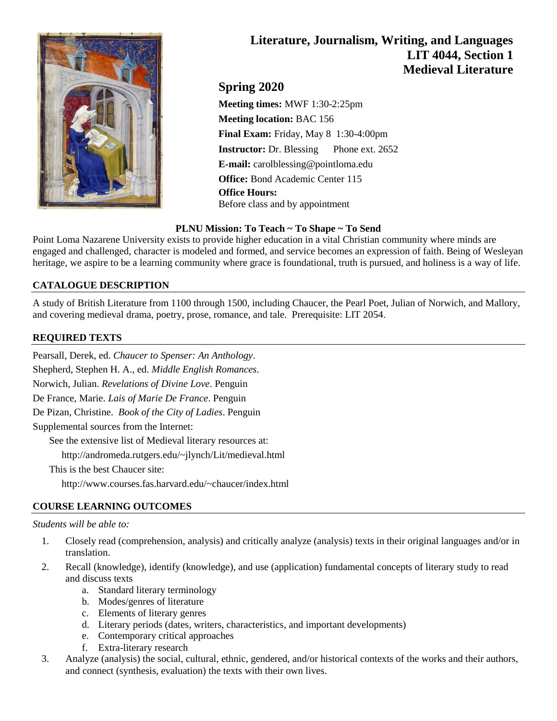

# **Literature, Journalism, Writing, and Languages LIT 4044, Section 1 Medieval Literature**

**Spring 2020**

**Meeting times:** MWF 1:30-2:25pm **Meeting location:** BAC 156 **Final Exam:** Friday, May 8 1:30-4:00pm **Instructor:** Dr. Blessing Phone ext. 2652 **E-mail:** carolblessing@pointloma.edu **Office:** Bond Academic Center 115 **Office Hours:** Before class and by appointment

# **PLNU Mission: To Teach ~ To Shape ~ To Send**

Point Loma Nazarene University exists to provide higher education in a vital Christian community where minds are engaged and challenged, character is modeled and formed, and service becomes an expression of faith. Being of Wesleyan heritage, we aspire to be a learning community where grace is foundational, truth is pursued, and holiness is a way of life.

# **CATALOGUE DESCRIPTION**

A study of British Literature from 1100 through 1500, including Chaucer, the Pearl Poet, Julian of Norwich, and Mallory, and covering medieval drama, poetry, prose, romance, and tale. Prerequisite: LIT 2054.

# **REQUIRED TEXTS**

Pearsall, Derek, ed. *Chaucer to Spenser: An Anthology*. Shepherd, Stephen H. A., ed. *Middle English Romances*. Norwich, Julian. *Revelations of Divine Love*. Penguin De France, Marie. *Lais of Marie De France*. Penguin De Pizan, Christine. *Book of the City of Ladies*. Penguin Supplemental sources from the Internet: See the extensive list of Medieval literary resources at: http://andromeda.rutgers.edu/~jlynch/Lit/medieval.html This is the best Chaucer site:

http://www.courses.fas.harvard.edu/~chaucer/index.html

# **COURSE LEARNING OUTCOMES**

#### *Students will be able to:*

- 1. Closely read (comprehension, analysis) and critically analyze (analysis) texts in their original languages and/or in translation.
- 2. Recall (knowledge), identify (knowledge), and use (application) fundamental concepts of literary study to read and discuss texts
	- a. Standard literary terminology
	- b. Modes/genres of literature
	- c. Elements of literary genres
	- d. Literary periods (dates, writers, characteristics, and important developments)
	- e. Contemporary critical approaches
	- f. Extra-literary research
- 3. Analyze (analysis) the social, cultural, ethnic, gendered, and/or historical contexts of the works and their authors, and connect (synthesis, evaluation) the texts with their own lives.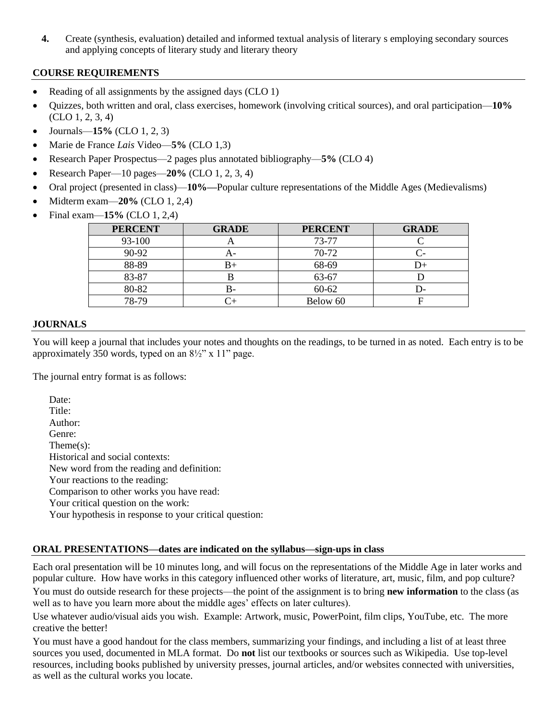**4.** Create (synthesis, evaluation) detailed and informed textual analysis of literary s employing secondary sources and applying concepts of literary study and literary theory

# **COURSE REQUIREMENTS**

- Reading of all assignments by the assigned days (CLO 1)
- Quizzes, both written and oral, class exercises, homework (involving critical sources), and oral participation—**10%** (CLO 1, 2, 3, 4)
- Journals—**15%** (CLO 1, 2, 3)
- Marie de France *Lais* Video—**5%** (CLO 1,3)
- Research Paper Prospectus—2 pages plus annotated bibliography—**5%** (CLO 4)
- Research Paper—10 pages—**20%** (CLO 1, 2, 3, 4)
- Oral project (presented in class)—**10%—**Popular culture representations of the Middle Ages (Medievalisms)
- Midterm exam—**20%** (CLO 1, 2,4)
- Final exam—**15%** (CLO 1, 2,4)

| <b>PERCENT</b> | <b>GRADE</b> | <b>PERCENT</b> | <b>GRADE</b> |
|----------------|--------------|----------------|--------------|
| 93-100         |              | 73-77          |              |
| 90-92          |              | 70-72          |              |
| 88-89          | B+           | 68-69          |              |
| 83-87          | D            | 63-67          |              |
| 80-82          | В-           | $60 - 62$      |              |
| 78-79          |              | Below 60       |              |

# **JOURNALS**

You will keep a journal that includes your notes and thoughts on the readings, to be turned in as noted. Each entry is to be approximately 350 words, typed on an  $8\frac{1}{2}$ " x 11" page.

The journal entry format is as follows:

Date: Title: Author: Genre: Theme(s): Historical and social contexts: New word from the reading and definition: Your reactions to the reading: Comparison to other works you have read: Your critical question on the work: Your hypothesis in response to your critical question:

# **ORAL PRESENTATIONS—dates are indicated on the syllabus—sign-ups in class**

Each oral presentation will be 10 minutes long, and will focus on the representations of the Middle Age in later works and popular culture. How have works in this category influenced other works of literature, art, music, film, and pop culture? You must do outside research for these projects—the point of the assignment is to bring **new information** to the class (as well as to have you learn more about the middle ages' effects on later cultures).

Use whatever audio/visual aids you wish. Example: Artwork, music, PowerPoint, film clips, YouTube, etc. The more creative the better!

You must have a good handout for the class members, summarizing your findings, and including a list of at least three sources you used, documented in MLA format. Do **not** list our textbooks or sources such as Wikipedia. Use top-level resources, including books published by university presses, journal articles, and/or websites connected with universities, as well as the cultural works you locate.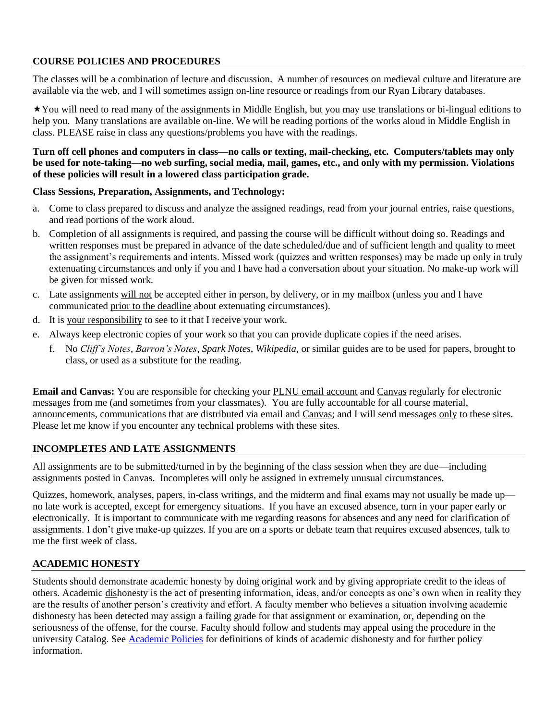# **COURSE POLICIES AND PROCEDURES**

The classes will be a combination of lecture and discussion. A number of resources on medieval culture and literature are available via the web, and I will sometimes assign on-line resource or readings from our Ryan Library databases.

You will need to read many of the assignments in Middle English, but you may use translations or bi-lingual editions to help you. Many translations are available on-line. We will be reading portions of the works aloud in Middle English in class. PLEASE raise in class any questions/problems you have with the readings.

#### **Turn off cell phones and computers in class—no calls or texting, mail-checking, etc. Computers/tablets may only be used for note-taking—no web surfing, social media, mail, games, etc., and only with my permission. Violations of these policies will result in a lowered class participation grade.**

#### **Class Sessions, Preparation, Assignments, and Technology:**

- a. Come to class prepared to discuss and analyze the assigned readings, read from your journal entries, raise questions, and read portions of the work aloud.
- b. Completion of all assignments is required, and passing the course will be difficult without doing so. Readings and written responses must be prepared in advance of the date scheduled/due and of sufficient length and quality to meet the assignment's requirements and intents. Missed work (quizzes and written responses) may be made up only in truly extenuating circumstances and only if you and I have had a conversation about your situation. No make-up work will be given for missed work.
- c. Late assignments will not be accepted either in person, by delivery, or in my mailbox (unless you and I have communicated prior to the deadline about extenuating circumstances).
- d. It is your responsibility to see to it that I receive your work.
- e. Always keep electronic copies of your work so that you can provide duplicate copies if the need arises.
	- f. No *Cliff's Notes*, *Barron's Notes*, *Spark Notes*, *Wikipedia*, or similar guides are to be used for papers, brought to class, or used as a substitute for the reading.

**Email and Canvas:** You are responsible for checking your PLNU email account and Canvas regularly for electronic messages from me (and sometimes from your classmates). You are fully accountable for all course material, announcements, communications that are distributed via email and Canvas; and I will send messages only to these sites. Please let me know if you encounter any technical problems with these sites.

# **INCOMPLETES AND LATE ASSIGNMENTS**

All assignments are to be submitted/turned in by the beginning of the class session when they are due—including assignments posted in Canvas. Incompletes will only be assigned in extremely unusual circumstances.

Quizzes, homework, analyses, papers, in-class writings, and the midterm and final exams may not usually be made up no late work is accepted, except for emergency situations. If you have an excused absence, turn in your paper early or electronically. It is important to communicate with me regarding reasons for absences and any need for clarification of assignments. I don't give make-up quizzes. If you are on a sports or debate team that requires excused absences, talk to me the first week of class.

# **ACADEMIC HONESTY**

Students should demonstrate academic honesty by doing original work and by giving appropriate credit to the ideas of others. Academic dishonesty is the act of presenting information, ideas, and/or concepts as one's own when in reality they are the results of another person's creativity and effort. A faculty member who believes a situation involving academic dishonesty has been detected may assign a failing grade for that assignment or examination, or, depending on the seriousness of the offense, for the course. Faculty should follow and students may appeal using the procedure in the university Catalog. See [Academic Policies](http://catalog.pointloma.edu/content.php?catoid=18&navoid=1278) for definitions of kinds of academic dishonesty and for further policy information.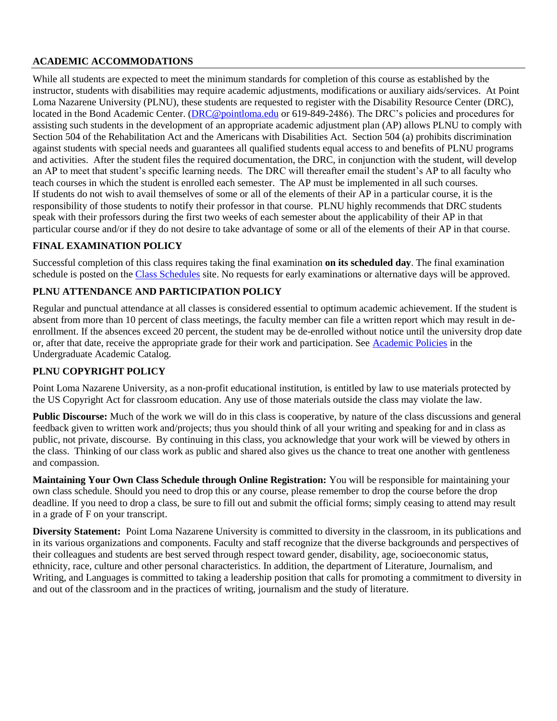## **ACADEMIC ACCOMMODATIONS**

While all students are expected to meet the minimum standards for completion of this course as established by the instructor, students with disabilities may require academic adjustments, modifications or auxiliary aids/services. At Point Loma Nazarene University (PLNU), these students are requested to register with the Disability Resource Center (DRC), located in the Bond Academic Center. [\(DRC@pointloma.edu](mailto:DRC@pointloma.edu) or 619-849-2486). The DRC's policies and procedures for assisting such students in the development of an appropriate academic adjustment plan (AP) allows PLNU to comply with Section 504 of the Rehabilitation Act and the Americans with Disabilities Act. Section 504 (a) prohibits discrimination against students with special needs and guarantees all qualified students equal access to and benefits of PLNU programs and activities. After the student files the required documentation, the DRC, in conjunction with the student, will develop an AP to meet that student's specific learning needs. The DRC will thereafter email the student's AP to all faculty who teach courses in which the student is enrolled each semester. The AP must be implemented in all such courses. If students do not wish to avail themselves of some or all of the elements of their AP in a particular course, it is the responsibility of those students to notify their professor in that course. PLNU highly recommends that DRC students speak with their professors during the first two weeks of each semester about the applicability of their AP in that particular course and/or if they do not desire to take advantage of some or all of the elements of their AP in that course.

# **FINAL EXAMINATION POLICY**

Successful completion of this class requires taking the final examination **on its scheduled day**. The final examination schedule is posted on th[e Class Schedules](http://www.pointloma.edu/experience/academics/class-schedules) site. No requests for early examinations or alternative days will be approved.

#### **PLNU ATTENDANCE AND PARTICIPATION POLICY**

Regular and punctual attendance at all classes is considered essential to optimum academic achievement. If the student is absent from more than 10 percent of class meetings, the faculty member can file a written report which may result in deenrollment. If the absences exceed 20 percent, the student may be de-enrolled without notice until the university drop date or, after that date, receive the appropriate grade for their work and participation. See [Academic Policies](http://catalog.pointloma.edu/content.php?catoid=18&navoid=1278) in the Undergraduate Academic Catalog.

#### **PLNU COPYRIGHT POLICY**

Point Loma Nazarene University, as a non-profit educational institution, is entitled by law to use materials protected by the US Copyright Act for classroom education. Any use of those materials outside the class may violate the law.

**Public Discourse:** Much of the work we will do in this class is cooperative, by nature of the class discussions and general feedback given to written work and/projects; thus you should think of all your writing and speaking for and in class as public, not private, discourse. By continuing in this class, you acknowledge that your work will be viewed by others in the class. Thinking of our class work as public and shared also gives us the chance to treat one another with gentleness and compassion.

**Maintaining Your Own Class Schedule through Online Registration:** You will be responsible for maintaining your own class schedule. Should you need to drop this or any course, please remember to drop the course before the drop deadline. If you need to drop a class, be sure to fill out and submit the official forms; simply ceasing to attend may result in a grade of F on your transcript.

**Diversity Statement:** Point Loma Nazarene University is committed to diversity in the classroom, in its publications and in its various organizations and components. Faculty and staff recognize that the diverse backgrounds and perspectives of their colleagues and students are best served through respect toward gender, disability, age, socioeconomic status, ethnicity, race, culture and other personal characteristics. In addition, the department of Literature, Journalism, and Writing, and Languages is committed to taking a leadership position that calls for promoting a commitment to diversity in and out of the classroom and in the practices of writing, journalism and the study of literature.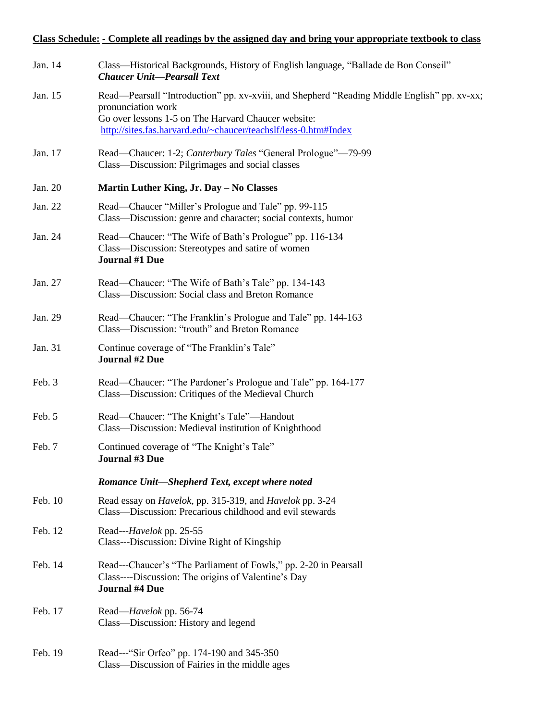# **Class Schedule: - Complete all readings by the assigned day and bring your appropriate textbook to class**

| Jan. 14 | Class—Historical Backgrounds, History of English language, "Ballade de Bon Conseil"<br><b>Chaucer Unit-Pearsall Text</b>                                                                                                                    |
|---------|---------------------------------------------------------------------------------------------------------------------------------------------------------------------------------------------------------------------------------------------|
| Jan. 15 | Read—Pearsall "Introduction" pp. xv-xviii, and Shepherd "Reading Middle English" pp. xv-xx;<br>pronunciation work<br>Go over lessons 1-5 on The Harvard Chaucer website:<br>http://sites.fas.harvard.edu/~chaucer/teachslf/less-0.htm#Index |
| Jan. 17 | Read—Chaucer: 1-2; Canterbury Tales "General Prologue"—79-99<br>Class—Discussion: Pilgrimages and social classes                                                                                                                            |
| Jan. 20 | Martin Luther King, Jr. Day - No Classes                                                                                                                                                                                                    |
| Jan. 22 | Read-Chaucer "Miller's Prologue and Tale" pp. 99-115<br>Class—Discussion: genre and character; social contexts, humor                                                                                                                       |
| Jan. 24 | Read—Chaucer: "The Wife of Bath's Prologue" pp. 116-134<br>Class—Discussion: Stereotypes and satire of women<br><b>Journal #1 Due</b>                                                                                                       |
| Jan. 27 | Read—Chaucer: "The Wife of Bath's Tale" pp. 134-143<br>Class—Discussion: Social class and Breton Romance                                                                                                                                    |
| Jan. 29 | Read—Chaucer: "The Franklin's Prologue and Tale" pp. 144-163<br>Class—Discussion: "trouth" and Breton Romance                                                                                                                               |
| Jan. 31 | Continue coverage of "The Franklin's Tale"<br><b>Journal #2 Due</b>                                                                                                                                                                         |
| Feb. 3  | Read—Chaucer: "The Pardoner's Prologue and Tale" pp. 164-177<br>Class—Discussion: Critiques of the Medieval Church                                                                                                                          |
| Feb. 5  | Read-Chaucer: "The Knight's Tale"-Handout<br>Class—Discussion: Medieval institution of Knighthood                                                                                                                                           |
| Feb. 7  | Continued coverage of "The Knight's Tale"<br>Journal #3 Due                                                                                                                                                                                 |
|         | Romance Unit-Shepherd Text, except where noted                                                                                                                                                                                              |
| Feb. 10 | Read essay on <i>Havelok</i> , pp. 315-319, and <i>Havelok</i> pp. 3-24<br>Class—Discussion: Precarious childhood and evil stewards                                                                                                         |
| Feb. 12 | Read--- <i>Havelok</i> pp. 25-55<br>Class---Discussion: Divine Right of Kingship                                                                                                                                                            |
| Feb. 14 | Read---Chaucer's "The Parliament of Fowls," pp. 2-20 in Pearsall<br>Class----Discussion: The origins of Valentine's Day<br><b>Journal #4 Due</b>                                                                                            |
| Feb. 17 | Read— <i>Havelok</i> pp. 56-74<br>Class—Discussion: History and legend                                                                                                                                                                      |
| Feb. 19 | Read---"Sir Orfeo" pp. 174-190 and 345-350<br>Class—Discussion of Fairies in the middle ages                                                                                                                                                |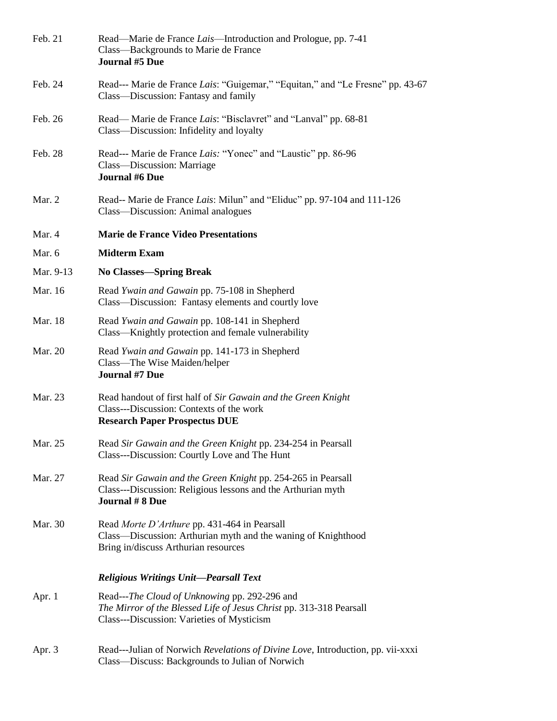| Feb. 21   | Read—Marie de France Lais—Introduction and Prologue, pp. 7-41<br>Class—Backgrounds to Marie de France<br><b>Journal #5 Due</b>                                     |
|-----------|--------------------------------------------------------------------------------------------------------------------------------------------------------------------|
| Feb. 24   | Read--- Marie de France Lais: "Guigemar," "Equitan," and "Le Fresne" pp. 43-67<br>Class—Discussion: Fantasy and family                                             |
| Feb. 26   | Read— Marie de France Lais: "Bisclavret" and "Lanval" pp. 68-81<br>Class—Discussion: Infidelity and loyalty                                                        |
| Feb. 28   | Read--- Marie de France Lais: "Yonec" and "Laustic" pp. 86-96<br>Class—Discussion: Marriage<br><b>Journal #6 Due</b>                                               |
| Mar. 2    | Read-- Marie de France Lais: Milun" and "Eliduc" pp. 97-104 and 111-126<br>Class—Discussion: Animal analogues                                                      |
| Mar. 4    | <b>Marie de France Video Presentations</b>                                                                                                                         |
| Mar. 6    | <b>Midterm Exam</b>                                                                                                                                                |
| Mar. 9-13 | <b>No Classes—Spring Break</b>                                                                                                                                     |
| Mar. 16   | Read Ywain and Gawain pp. 75-108 in Shepherd<br>Class—Discussion: Fantasy elements and courtly love                                                                |
| Mar. 18   | Read Ywain and Gawain pp. 108-141 in Shepherd<br>Class—Knightly protection and female vulnerability                                                                |
| Mar. 20   | Read Ywain and Gawain pp. 141-173 in Shepherd<br>Class—The Wise Maiden/helper<br><b>Journal #7 Due</b>                                                             |
| Mar. 23   | Read handout of first half of Sir Gawain and the Green Knight<br>Class---Discussion: Contexts of the work<br><b>Research Paper Prospectus DUE</b>                  |
| Mar. 25   | Read Sir Gawain and the Green Knight pp. 234-254 in Pearsall<br>Class---Discussion: Courtly Love and The Hunt                                                      |
| Mar. 27   | Read Sir Gawain and the Green Knight pp. 254-265 in Pearsall<br>Class---Discussion: Religious lessons and the Arthurian myth<br><b>Journal #8 Due</b>              |
| Mar. 30   | Read Morte D'Arthure pp. 431-464 in Pearsall<br>Class—Discussion: Arthurian myth and the waning of Knighthood<br>Bring in/discuss Arthurian resources              |
|           | <b>Religious Writings Unit-Pearsall Text</b>                                                                                                                       |
| Apr. $1$  | Read---The Cloud of Unknowing pp. 292-296 and<br>The Mirror of the Blessed Life of Jesus Christ pp. 313-318 Pearsall<br>Class---Discussion: Varieties of Mysticism |
| Apr. 3    | Read---Julian of Norwich Revelations of Divine Love, Introduction, pp. vii-xxxi<br>Class-Discuss: Backgrounds to Julian of Norwich                                 |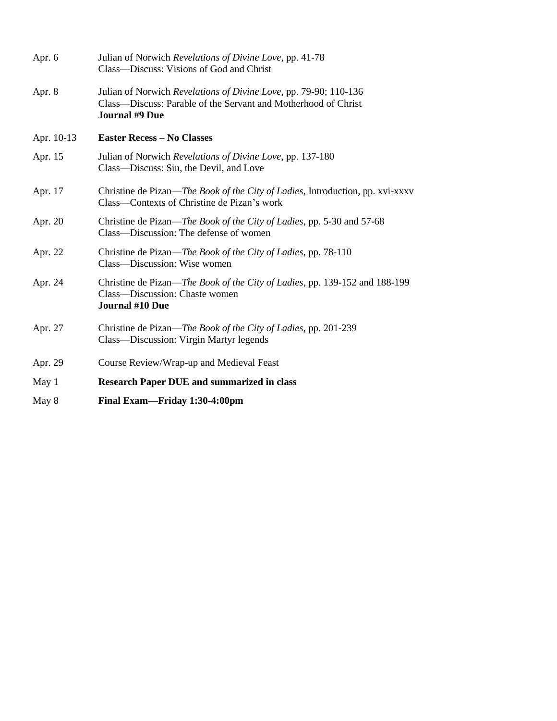| Apr. 6     | Julian of Norwich Revelations of Divine Love, pp. 41-78<br>Class—Discuss: Visions of God and Christ                                                         |
|------------|-------------------------------------------------------------------------------------------------------------------------------------------------------------|
| Apr. 8     | Julian of Norwich Revelations of Divine Love, pp. 79-90; 110-136<br>Class—Discuss: Parable of the Servant and Motherhood of Christ<br><b>Journal #9 Due</b> |
| Apr. 10-13 | <b>Easter Recess - No Classes</b>                                                                                                                           |
| Apr. 15    | Julian of Norwich Revelations of Divine Love, pp. 137-180<br>Class—Discuss: Sin, the Devil, and Love                                                        |
| Apr. 17    | Christine de Pizan— <i>The Book of the City of Ladies</i> , Introduction, pp. xvi-xxxv<br>Class—Contexts of Christine de Pizan's work                       |
| Apr. 20    | Christine de Pizan—The Book of the City of Ladies, pp. 5-30 and 57-68<br>Class—Discussion: The defense of women                                             |
| Apr. 22    | Christine de Pizan— <i>The Book of the City of Ladies</i> , pp. 78-110<br>Class—Discussion: Wise women                                                      |
| Apr. 24    | Christine de Pizan—The Book of the City of Ladies, pp. 139-152 and 188-199<br>Class—Discussion: Chaste women<br>Journal #10 Due                             |
| Apr. 27    | Christine de Pizan—The Book of the City of Ladies, pp. 201-239<br>Class—Discussion: Virgin Martyr legends                                                   |
| Apr. 29    | Course Review/Wrap-up and Medieval Feast                                                                                                                    |
| May 1      | <b>Research Paper DUE and summarized in class</b>                                                                                                           |
| May 8      | Final Exam—Friday 1:30-4:00pm                                                                                                                               |